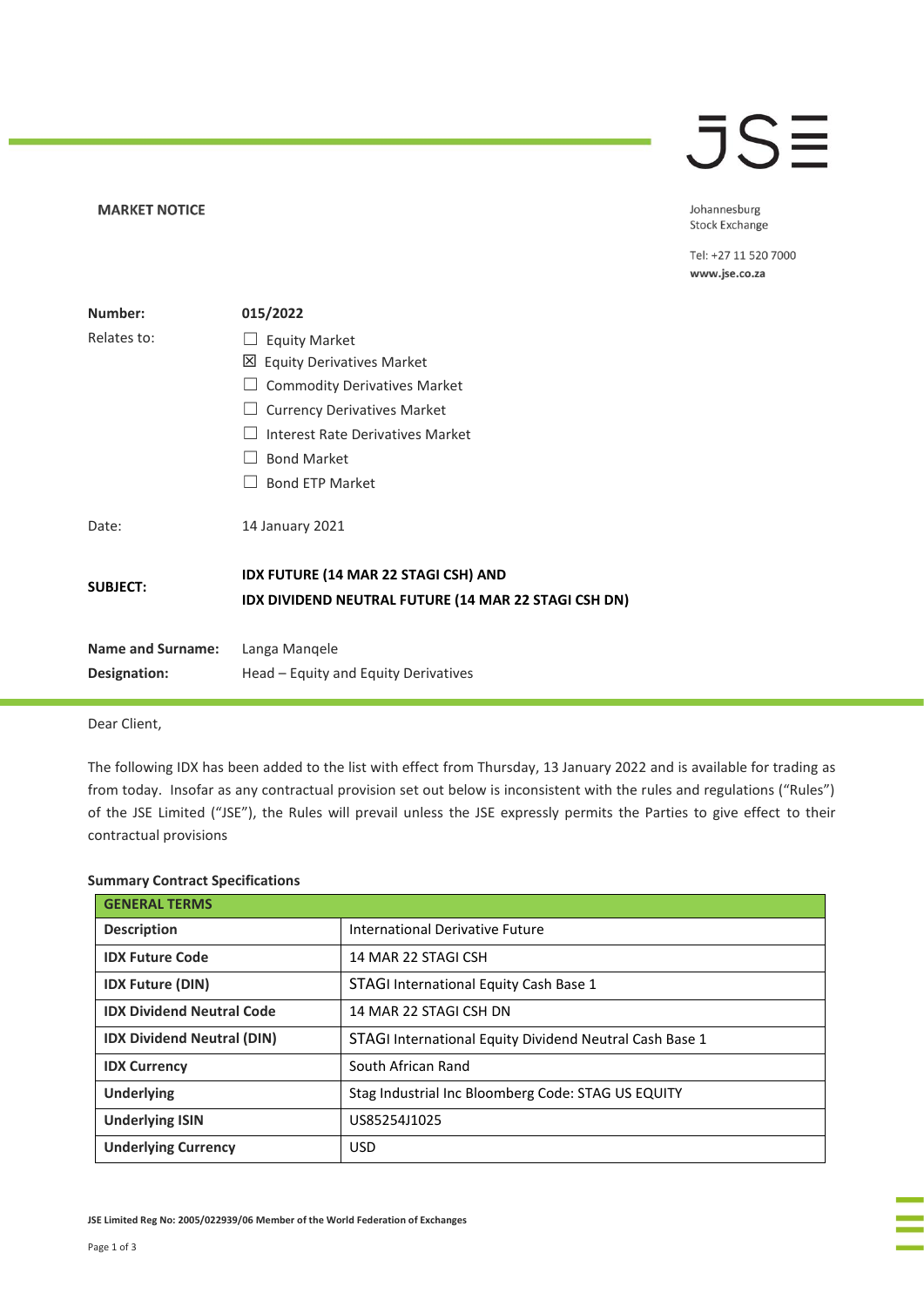## **JSE**

**MARKET NOTICE** 

Johannesburg Stock Exchange

Tel: +27 11 520 7000 www.jse.co.za

| Number:                                  | 015/2022                                                                                            |
|------------------------------------------|-----------------------------------------------------------------------------------------------------|
| Relates to:                              | <b>Equity Market</b>                                                                                |
|                                          | ⊠<br><b>Equity Derivatives Market</b>                                                               |
|                                          | <b>Commodity Derivatives Market</b>                                                                 |
|                                          | <b>Currency Derivatives Market</b>                                                                  |
|                                          | Interest Rate Derivatives Market                                                                    |
|                                          | <b>Bond Market</b>                                                                                  |
|                                          | <b>Bond FTP Market</b>                                                                              |
| Date:                                    | 14 January 2021                                                                                     |
| <b>SUBJECT:</b>                          | <b>IDX FUTURE (14 MAR 22 STAGI CSH) AND</b><br>IDX DIVIDEND NEUTRAL FUTURE (14 MAR 22 STAGI CSH DN) |
| <b>Name and Surname:</b><br>Designation: | Langa Mangele<br>Head – Equity and Equity Derivatives                                               |

Dear Client,

The following IDX has been added to the list with effect from Thursday, 13 January 2022 and is available for trading as from today. Insofar as any contractual provision set out below is inconsistent with the rules and regulations ("Rules") of the JSE Limited ("JSE"), the Rules will prevail unless the JSE expressly permits the Parties to give effect to their contractual provisions

#### **Summary Contract Specifications**

| <b>GENERAL TERMS</b>              |                                                         |
|-----------------------------------|---------------------------------------------------------|
| <b>Description</b>                | International Derivative Future                         |
| <b>IDX Future Code</b>            | 14 MAR 22 STAGI CSH                                     |
| <b>IDX Future (DIN)</b>           | <b>STAGI International Equity Cash Base 1</b>           |
| <b>IDX Dividend Neutral Code</b>  | 14 MAR 22 STAGI CSH DN                                  |
| <b>IDX Dividend Neutral (DIN)</b> | STAGI International Equity Dividend Neutral Cash Base 1 |
| <b>IDX Currency</b>               | South African Rand                                      |
| <b>Underlying</b>                 | Stag Industrial Inc Bloomberg Code: STAG US EQUITY      |
| <b>Underlying ISIN</b>            | US85254J1025                                            |
| <b>Underlying Currency</b>        | <b>USD</b>                                              |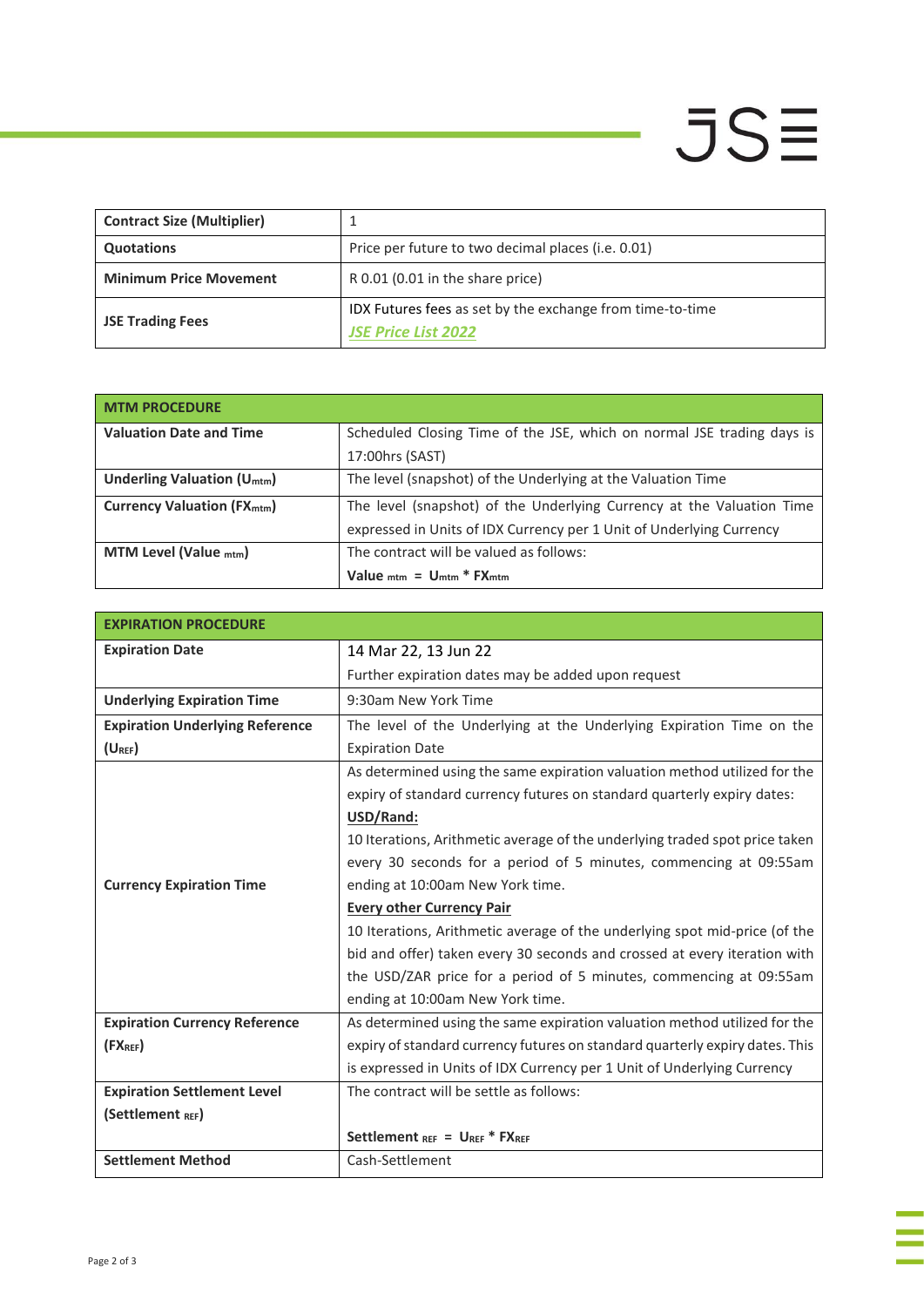# $JSE$

÷,

| <b>Contract Size (Multiplier)</b> |                                                                                         |
|-----------------------------------|-----------------------------------------------------------------------------------------|
| <b>Quotations</b>                 | Price per future to two decimal places (i.e. 0.01)                                      |
| <b>Minimum Price Movement</b>     | R 0.01 (0.01 in the share price)                                                        |
| <b>JSE Trading Fees</b>           | IDX Futures fees as set by the exchange from time-to-time<br><b>JSE Price List 2022</b> |

| <b>MTM PROCEDURE</b>                         |                                                                        |
|----------------------------------------------|------------------------------------------------------------------------|
| <b>Valuation Date and Time</b>               | Scheduled Closing Time of the JSE, which on normal JSE trading days is |
|                                              | 17:00hrs (SAST)                                                        |
| <b>Underling Valuation (U<sub>mtm</sub>)</b> | The level (snapshot) of the Underlying at the Valuation Time           |
| <b>Currency Valuation (FXmtm)</b>            | The level (snapshot) of the Underlying Currency at the Valuation Time  |
|                                              | expressed in Units of IDX Currency per 1 Unit of Underlying Currency   |
| <b>MTM Level (Value mtm)</b>                 | The contract will be valued as follows:                                |
|                                              | Value $_{\text{mtm}}$ = $U_{\text{mtm}}$ * $FX_{\text{mtm}}$           |

| <b>EXPIRATION PROCEDURE</b>            |                                                                              |
|----------------------------------------|------------------------------------------------------------------------------|
| <b>Expiration Date</b>                 | 14 Mar 22, 13 Jun 22                                                         |
|                                        | Further expiration dates may be added upon request                           |
| <b>Underlying Expiration Time</b>      | 9:30am New York Time                                                         |
| <b>Expiration Underlying Reference</b> | The level of the Underlying at the Underlying Expiration Time on the         |
| $(U_{REF})$                            | <b>Expiration Date</b>                                                       |
|                                        | As determined using the same expiration valuation method utilized for the    |
|                                        | expiry of standard currency futures on standard quarterly expiry dates:      |
|                                        | USD/Rand:                                                                    |
|                                        | 10 Iterations, Arithmetic average of the underlying traded spot price taken  |
|                                        | every 30 seconds for a period of 5 minutes, commencing at 09:55am            |
| <b>Currency Expiration Time</b>        | ending at 10:00am New York time.                                             |
|                                        | <b>Every other Currency Pair</b>                                             |
|                                        | 10 Iterations, Arithmetic average of the underlying spot mid-price (of the   |
|                                        | bid and offer) taken every 30 seconds and crossed at every iteration with    |
|                                        | the USD/ZAR price for a period of 5 minutes, commencing at 09:55am           |
|                                        | ending at 10:00am New York time.                                             |
| <b>Expiration Currency Reference</b>   | As determined using the same expiration valuation method utilized for the    |
| (FX <sub>REF</sub> )                   | expiry of standard currency futures on standard quarterly expiry dates. This |
|                                        | is expressed in Units of IDX Currency per 1 Unit of Underlying Currency      |
| <b>Expiration Settlement Level</b>     | The contract will be settle as follows:                                      |
| (Settlement REF)                       |                                                                              |
|                                        | Settlement $_{REF}$ = $U_{REF}$ * FXREF                                      |
| <b>Settlement Method</b>               | Cash-Settlement                                                              |